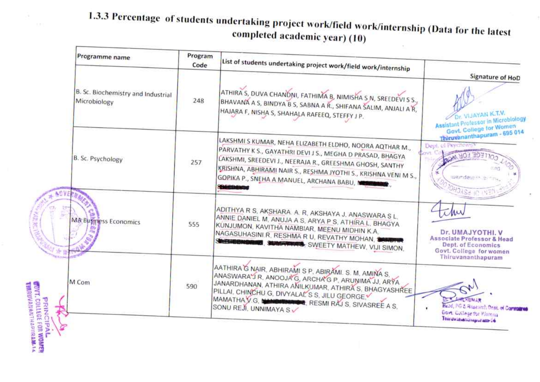## 1.3.3 Percentage of students undertaking project work/field work/internship (Data for the latest completed academic year) (10)

 $\tau_{\rm c}$ 

|                                                                                    | Programme name                                     | Program<br>Code | List of students undertaking project work/field work/internship                                                                                                                                                                                                                                                                              |                                                                                                                                        |
|------------------------------------------------------------------------------------|----------------------------------------------------|-----------------|----------------------------------------------------------------------------------------------------------------------------------------------------------------------------------------------------------------------------------------------------------------------------------------------------------------------------------------------|----------------------------------------------------------------------------------------------------------------------------------------|
|                                                                                    | B. Sc. Biochemistry and Industrial<br>Microbiology | 248             | ATHIRA S, DUVA CHANDNI, FATHIMA B, NIMISHA S N, SREEDEVI S S.,<br>BHAVANA A S, BINDYA B S, SABNA A R., SHIFANA SALIM, ANJALI A R.<br>HAJARA F, NISHA S, SHAHALA RAFEEQ, STEFFY J P.                                                                                                                                                          | Signature of HoD<br>Dr. VIJAYAN K.T.V.<br>Assistant Professor in Microbiology<br>Govt, College for Women                               |
|                                                                                    | B. Sc. Psychology                                  | 257             | LAKSHMI S KUMAR, NEHA ELIZABETH ELDHO, NOORA AQTHAR M.,<br>PARVATHY K S., GAYATHRI DEVI J S., MEGHA D PRASAD, BHAGYA<br>LAKSHMI, SREEDEVI J., NEERAJA R., GREESHMA GHOSH, SANTHY<br>KRISHNA, ABHIRAMI NAIR S., RESHMA JYOTHI S., KRISHNA VENI M S.,<br>GOPIKA P., SNEHA A MANUEL, ARCHANA BABU, NEW STATE<br><b><i><u>INGERALIZE</u></i></b> | Thiruvananthapuram - 695 014<br>Dept. of Psychology<br><b>E FOR WOR</b><br>Weindeuten e.<br><b>JHOXSE IC</b>                           |
|                                                                                    | <b>MA Business Economics</b>                       | 555             | ADITHYA R S, AKSHARA, A, R, AKSHAYA J, ANASWARA S L,<br>ANNIE DANIEL M, ANUJA A S, ARYA P S, ATHIRA L, BHAGYA<br>KÚNJUMON, KAVITHA NAMBIAR, MEENU MIDHIN K.A.<br>NAGASUHASINI R, RESHMA R U, REVATHY MOHAN, S<br><b>WHITEBRAND</b><br><b>BEL SUMMERS</b> , SWEETY MATHEW, VIJI SIMON,                                                        | in<br>Dr. UMAJYOTHI, V<br><b>Associate Professor &amp; Head</b><br>Dept. of Economics<br>Govt. College for women<br>Thiruvananthapuram |
| <b>PRINCIPAL<br/>CUVT.COLLEGE FOR WOMER</b><br>THRIUVAINANTHAPIIRAM- <sup>14</sup> | M Com                                              | 590             | AATHIRA G NAIR, ABHIRAMI S P, ABIRAMI. S. M, AMINA S,<br>ANASWARA JR. ANOOJA G, ARCHA'G P, ARUNIMA JJ, ARYA<br>JANARDHANAN, ATHIRA ANILKUMAR, ATHIRA S, BHAGYASHREE<br>PILLAI, CHINCHU G, DIVYALAL S S, JILU GEORGE.<br>MAMATHAVG, WANDITCHEST, RESMIRAJS, SIVASREE AS.<br>SONU REJI, UNNIMAYA SV                                            | <b>EXUMAR</b><br>Head, PG & Rosearch Drint, of Committee<br>Govt: College for Warning<br>Thirdwahaninguram is                          |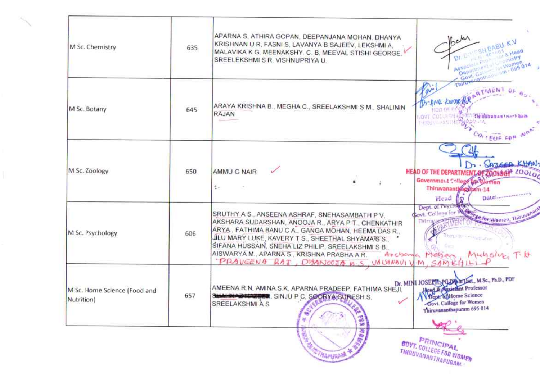| M Sc. Chemistry                            | 635 | APARNA S, ATHIRA GOPAN, DEEPANJANA MOHAN, DHANYA<br>KRISHNAN U R, FASNI S, LAVANYA B SAJEEV, LEKSHMI A,<br>MALAVIKA K G. MEENAKSHY. C. B. MEEVAL STISHI GEORGE.<br>SREELEKSHMI S R, VISHNUPRIYA U.                                                                                                                                                                           | $5e^{\lambda x}$<br>SHEABU K.V<br><b>SHead</b><br><b>Cinistry</b><br>Truth Land College Street College O14<br>Department of G                                    |
|--------------------------------------------|-----|------------------------------------------------------------------------------------------------------------------------------------------------------------------------------------------------------------------------------------------------------------------------------------------------------------------------------------------------------------------------------|------------------------------------------------------------------------------------------------------------------------------------------------------------------|
| M Sc. Botany                               | 645 | ARAYA KRISHNA B., MEGHA C., SREELAKSHMI S M., SHALININ<br>RAJAN                                                                                                                                                                                                                                                                                                              | Thirus<br>TMENT<br>Dr. AHL KUMZ<br>HOD OF IT<br><b>Chinuyanan' nartikan</b><br><b>LOVE COLLEGHT</b><br>HERUPARTHE SINGH - 14<br>COLLEUE FOR                      |
| M Sc. Zoology                              | 650 | AMMU G NAIR<br>÷.                                                                                                                                                                                                                                                                                                                                                            | Dr. SAJEER KHAN,<br>HEAD OF THE DEPARTMENT OF ZOOLOGHE 200LOG<br>Government College La Women<br>Thiruvanantlyagutam-14<br>Date: managements<br>Head I            |
| M Sc. Psychology                           | 606 | SRUTHY A S., ANSEENA ASHRAF, SNEHASAMBATH P V.<br>AKSHARA SUDARSHAN, ANOOJA R., ARYA P T., CHENKATHIR<br>ARYA., FATHIMA BANU C.A., GANGA MOHAN, HEEMA DAS R.,<br>JILU MARY LUKE, KAVERY T S., SHEETHAL SHYAMA'S S.<br>SIFANA HUSSAIN, SNEHA LIZ PHILIP, SREELAKSHMI S B.,<br>AISWARYA M., APARNA S., KRISHNA PRABHA A R.<br>PRAVEENS RAJ, DISANOOJA N.S. VAUGUNAUI V.M. SAME | Dept. of Psychone<br>Cre for Women, Thirdyanam<br>Govt, College for Wood<br>Thirt<br>Thingship (without after)<br>Muhsing Fitt<br>Archana Molson                 |
| M Sc. Home Science (Food and<br>Nutrition) | 657 | AMEENA.R.N. AMINA.S.K. APARNA PRADEEP, FATHIMA SHEJI.<br>SHALL HAZARDER, SINJU P C, SOORYA SURESH.S.<br>SREELAKSHMI A S<br>$\mathcal{C}_{\mu}$<br>$\mathbf{e}$<br>59 <sub>2</sub><br>举                                                                                                                                                                                       | Dr. MINI JOSEPH PGDM in Diet., M.Sc., Ph.D., PDF<br>Head & Assistant Professor<br>Dept and Home Science<br>Govt. College for Women<br>Thiruvananthapuram 695 014 |
|                                            |     | NOWS<br>思い<br><b><i>COMAPUTAL</i>IA</b>                                                                                                                                                                                                                                                                                                                                      | PRINCIPAL<br><b>GOVT. COLLEGE FOR WOMEN</b><br>THIRUVANANTHAPURAM.                                                                                               |

 $\left\langle \hat{A}_{\vec{k}}\right\rangle _{\vec{k}\vec{k}}$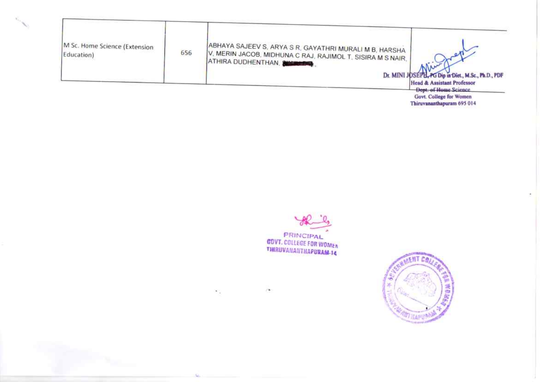| M Sc. Home Science (Extension<br>Education) | 656 | ABHAYA SAJEEV S, ARYA S R, GAYATHRI MURALI M B, HARSHA '<br>V, MERIN JACOB, MIDHUNA C RAJ, RAJIMOL T, SISIRA M S NAIR, '<br><b>(ATHIRA DUDHENTHAN, SHOWERS)</b><br>Dr. MINI JOSEPH, PG Dip in Diet., M.Sc., Ph.D., PDF |  |
|---------------------------------------------|-----|------------------------------------------------------------------------------------------------------------------------------------------------------------------------------------------------------------------------|--|
|                                             |     | Head & Assistant Professor<br>Days, of Home Princes                                                                                                                                                                    |  |

Dept. of Home Science<br>Govt. College for Women<br>Thiruvananthapuram 695 014



 $\mu$ 

 $\mathcal{N}_{\rm eff}$ 

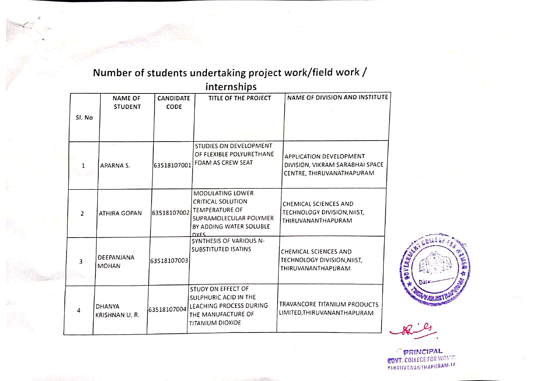|                | internships                       |                                 |                                                                                                                                                  |                                                                                         |  |  |
|----------------|-----------------------------------|---------------------------------|--------------------------------------------------------------------------------------------------------------------------------------------------|-----------------------------------------------------------------------------------------|--|--|
|                | <b>NAME OF</b><br><b>STUDENT</b>  | <b>CANDIDATE</b><br><b>CODE</b> | TITLE OF THE PROJECT                                                                                                                             | NAME OF DIVISION AND INSTITUTE                                                          |  |  |
| SI. No         |                                   |                                 |                                                                                                                                                  |                                                                                         |  |  |
| 1              | APARNA S.                         | 63518107001                     | STUDIES ON DEVELOPMENT<br>OF FLEXIBLE POLYURETHANE<br><b>FOAM AS CREW SEAT</b>                                                                   | APPLICATION DEVELOPMENT<br>DIVISION, VIKRAM SARABHAI SPACE<br>CENTRE, THIRUVANATHAPURAM |  |  |
| $\overline{2}$ | ATHIRA GOPAN                      | 63518107002                     | <b>MODULATING LOWER</b><br><b>CRITICAL SOLUTION</b><br><b>TEMPERATURE OF</b><br>SUPRAMOLECULAR POLYMER<br>BY ADDING WATER SOLUBLE<br><b>DYFS</b> | <b>CHEMICAL SCIENCES AND</b><br>TECHNOLOGY DIVISION, NIIST,<br>THIRUVANANTHAPURAM       |  |  |
| 3              | <b>DEEPANJANA</b><br><b>MOHAN</b> | 63518107003                     | SYNTHESIS OF VARIOUS N-<br><b>SUBSTITUTED ISATINS</b>                                                                                            | <b>CHEMICAL SCIENCES AND</b><br>TECHNOLOGY DIVISION, NIIST,<br>THIRUVANANTHAPURAM       |  |  |
| 4              | <b>DHANYA</b><br>KRISHNAN U.R.    |                                 | STUDY ON EFFECT OF<br>SULPHURIC ACID IN THE<br>63518107004 LEACHING PROCESS DURING<br>THE MANUFACTURE OF<br>TITANIUM DIOXIDE                     | TRAVANCORE TITANIUM PRODUCTS<br>LIMITED, THIRUVANANTHAPURAM                             |  |  |

## Number of students undertaking project work/field work /

**PRINCIPAL**<br>**GOVT.** COLLEGE FOR WOMEN THERBUANANTHAPURAM.10

**ABVEA**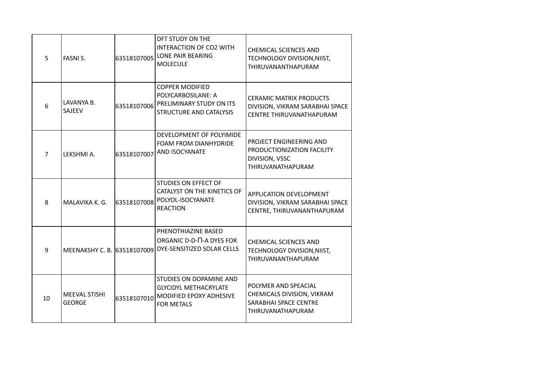| 5              | <b>FASNIS.</b>                        | 63518107005 | DFT STUDY ON THE<br>INTERACTION OF CO2 WITH<br>LONE PAIR BEARING<br><b>MOLECULE</b>                     | <b>CHEMICAL SCIENCES AND</b><br>TECHNOLOGY DIVISION, NIIST,<br>THIRUVANANTHAPURAM                   |
|----------------|---------------------------------------|-------------|---------------------------------------------------------------------------------------------------------|-----------------------------------------------------------------------------------------------------|
| 6              | LAVANYA B.<br>SAJEEV                  | 63518107006 | <b>COPPER MODIFIED</b><br>POLYCARBOSILANE: A<br>PRELIMINARY STUDY ON ITS<br>STRUCTURE AND CATALYSIS     | <b>CERAMIC MATRIX PRODUCTS</b><br>DIVISION, VIKRAM SARABHAI SPACE<br>CENTRE THIRUVANATHAPURAM       |
| $\overline{7}$ | LEKSHMI A.                            | 63518107007 | DEVELOPMENT OF POLYIMIDE<br>FOAM FROM DIANHYDRIDE<br>AND ISOCYANATE                                     | PROJECT ENGINEERING AND<br>PRODUCTIONIZATION FACILITY<br>DIVISION, VSSC<br><b>THIRUVANATHAPURAM</b> |
| 8              | MALAVIKA K. G.                        | 63518107008 | STUDIES ON EFFECT OF<br>CATALYST ON THE KINETICS OF<br>POLYOL-ISOCYANATE<br><b>REACTION</b>             | <b>APPLICATION DEVELOPMENT</b><br>DIVISION, VIKRAM SARABHAI SPACE<br>CENTRE, THIRUVANANTHAPURAM     |
| 9              | MEENAKSHY C. B. 63518107009           |             | PHENOTHIAZINE BASED<br>ORGANIC D-D- $\Pi$ -A DYES FOR<br>DYE-SENSITIZED SOLAR CELLS                     | <b>CHEMICAL SCIENCES AND</b><br>TECHNOLOGY DIVISION, NIIST,<br>THIRUVANANTHAPURAM                   |
| 10             | <b>MEEVAL STISHI</b><br><b>GEORGE</b> | 63518107010 | STUDIES ON DOPAMINE AND<br><b>GLYCIDYL METHACRYLATE</b><br>MODIFIED EPOXY ADHESIVE<br><b>FOR METALS</b> | POLYMER AND SPEACIAL<br>CHEMICALS DIVISION, VIKRAM<br>SARABHAI SPACE CENTRE<br>THIRUVANATHAPURAM    |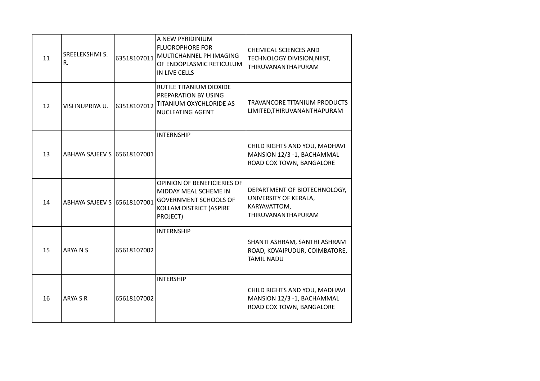| 11 | SREELEKSHMI S.<br>R.        | 63518107011 | A NEW PYRIDINIUM<br><b>FLUOROPHORE FOR</b><br>MULTICHANNEL PH IMAGING<br>OF ENDOPLASMIC RETICULUM<br>IN LIVE CELLS          | <b>CHEMICAL SCIENCES AND</b><br>TECHNOLOGY DIVISION, NIIST,<br>THIRUVANANTHAPURAM           |
|----|-----------------------------|-------------|-----------------------------------------------------------------------------------------------------------------------------|---------------------------------------------------------------------------------------------|
| 12 | VISHNUPRIYA U.              | 63518107012 | RUTILE TITANIUM DIOXIDE<br>PREPARATION BY USING<br>TITANIUM OXYCHLORIDE AS<br>NUCLEATING AGENT                              | TRAVANCORE TITANIUM PRODUCTS<br>LIMITED, THIRUVANANTHAPURAM                                 |
| 13 | ABHAYA SAJEEV S 65618107001 |             | <b>INTERNSHIP</b>                                                                                                           | CHILD RIGHTS AND YOU, MADHAVI<br>MANSION 12/3 -1, BACHAMMAL<br>ROAD COX TOWN, BANGALORE     |
| 14 | ABHAYA SAJEEV S 65618107001 |             | OPINION OF BENEFICIERIES OF<br>MIDDAY MEAL SCHEME IN<br><b>GOVERNMENT SCHOOLS OF</b><br>KOLLAM DISTRICT (ASPIRE<br>PROJECT) | DEPARTMENT OF BIOTECHNOLOGY,<br>UNIVERSITY OF KERALA,<br>KARYAVATTOM,<br>THIRUVANANTHAPURAM |
| 15 | ARYA N S                    | 65618107002 | <b>INTERNSHIP</b>                                                                                                           | SHANTI ASHRAM, SANTHI ASHRAM<br>ROAD, KOVAIPUDUR, COIMBATORE,<br><b>TAMIL NADU</b>          |
| 16 | ARYA S R                    | 65618107002 | <b>INTERSHIP</b>                                                                                                            | CHILD RIGHTS AND YOU, MADHAVI<br>MANSION 12/3 -1, BACHAMMAL<br>ROAD COX TOWN, BANGALORE     |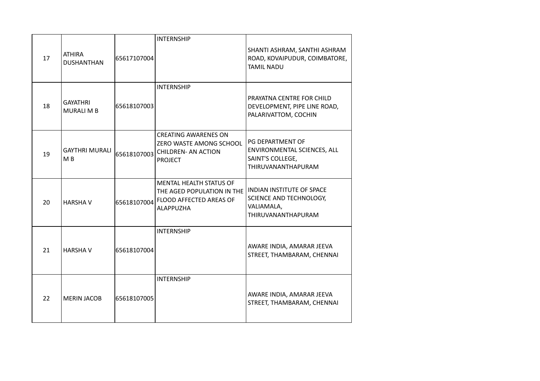|    |                                      |             | <b>INTERNSHIP</b>                                                                                           |                                                                                                  |
|----|--------------------------------------|-------------|-------------------------------------------------------------------------------------------------------------|--------------------------------------------------------------------------------------------------|
| 17 | <b>ATHIRA</b><br><b>DUSHANTHAN</b>   | 65617107004 |                                                                                                             | SHANTI ASHRAM, SANTHI ASHRAM<br>ROAD, KOVAIPUDUR, COIMBATORE,<br><b>TAMIL NADU</b>               |
| 18 | <b>GAYATHRI</b><br><b>MURALI M B</b> | 65618107003 | <b>INTERNSHIP</b>                                                                                           | PRAYATNA CENTRE FOR CHILD<br>DEVELOPMENT, PIPE LINE ROAD,<br>PALARIVATTOM, COCHIN                |
| 19 | <b>GAYTHRI MURALI</b><br>M B         | 65618107003 | <b>CREATING AWARENES ON</b><br>ZERO WASTE AMONG SCHOOL<br><b>CHILDREN- AN ACTION</b><br><b>PROJECT</b>      | PG DEPARTMENT OF<br>ENVIRONMENTAL SCIENCES, ALL<br>SAINT'S COLLEGE,<br><b>THIRUVANANTHAPURAM</b> |
| 20 | <b>HARSHA V</b>                      | 65618107004 | <b>MENTAL HEALTH STATUS OF</b><br>THE AGED POPULATION IN THE<br>FLOOD AFFECTED AREAS OF<br><b>ALAPPUZHA</b> | <b>INDIAN INSTITUTE OF SPACE</b><br>SCIENCE AND TECHNOLOGY,<br>VALIAMALA,<br>THIRUVANANTHAPURAM  |
| 21 | <b>HARSHAV</b>                       | 65618107004 | <b>INTERNSHIP</b>                                                                                           | AWARE INDIA, AMARAR JEEVA<br>STREET, THAMBARAM, CHENNAI                                          |
| 22 | <b>MERIN JACOB</b>                   | 65618107005 | <b>INTERNSHIP</b>                                                                                           | AWARE INDIA, AMARAR JEEVA<br>STREET, THAMBARAM, CHENNAI                                          |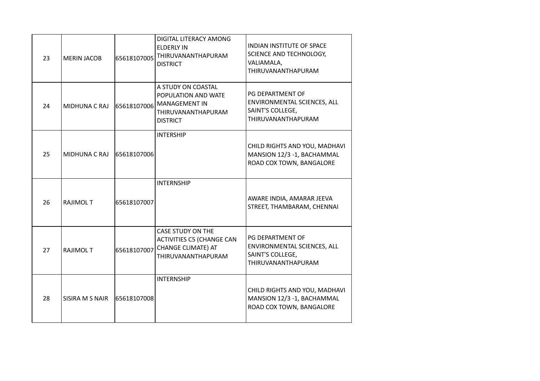| 23 | <b>MERIN JACOB</b> | 65618107005 | DIGITAL LITERACY AMONG<br><b>ELDERLY IN</b><br>THIRUVANANTHAPURAM<br><b>DISTRICT</b>                       | <b>INDIAN INSTITUTE OF SPACE</b><br>SCIENCE AND TECHNOLOGY,<br>VALIAMALA,<br>THIRUVANANTHAPURAM |
|----|--------------------|-------------|------------------------------------------------------------------------------------------------------------|-------------------------------------------------------------------------------------------------|
| 24 | MIDHUNA C RAJ      | 65618107006 | A STUDY ON COASTAL<br>POPULATION AND WATE<br><b>MANAGEMENT IN</b><br>THIRUVANANTHAPURAM<br><b>DISTRICT</b> | PG DEPARTMENT OF<br>ENVIRONMENTAL SCIENCES, ALL<br>SAINT'S COLLEGE,<br>THIRUVANANTHAPURAM       |
| 25 | MIDHUNA C RAJ      | 65618107006 | <b>INTERSHIP</b>                                                                                           | CHILD RIGHTS AND YOU, MADHAVI<br>MANSION 12/3 -1, BACHAMMAL<br>ROAD COX TOWN, BANGALORE         |
| 26 | <b>RAJIMOL T</b>   | 65618107007 | <b>INTERNSHIP</b>                                                                                          | AWARE INDIA, AMARAR JEEVA<br>STREET, THAMBARAM, CHENNAI                                         |
| 27 | <b>RAJIMOLT</b>    | 65618107007 | CASE STUDY ON THE<br><b>ACTIVITIES C5 (CHANGE CAN</b><br>CHANGE CLIMATE) AT<br>THIRUVANANTHAPURAM          | PG DEPARTMENT OF<br>ENVIRONMENTAL SCIENCES, ALL<br>SAINT'S COLLEGE,<br>THIRUVANANTHAPURAM       |
| 28 | SISIRA M S NAIR    | 65618107008 | <b>INTERNSHIP</b>                                                                                          | CHILD RIGHTS AND YOU, MADHAVI<br>MANSION 12/3 -1, BACHAMMAL<br>ROAD COX TOWN, BANGALORE         |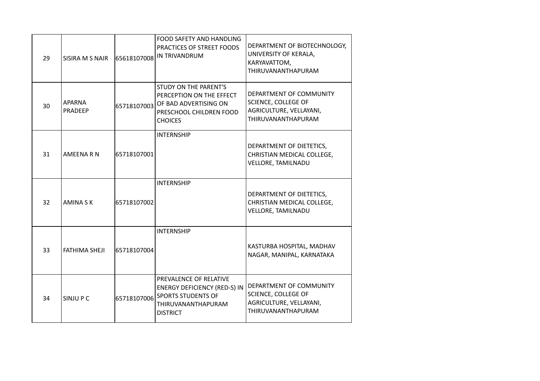| 29 | SISIRA M S NAIR          | 65618107008 | FOOD SAFETY AND HANDLING<br>PRACTICES OF STREET FOODS<br>IN TRIVANDRUM                                                              | DEPARTMENT OF BIOTECHNOLOGY,<br>UNIVERSITY OF KERALA,<br>KARYAVATTOM,<br>THIRUVANANTHAPURAM     |
|----|--------------------------|-------------|-------------------------------------------------------------------------------------------------------------------------------------|-------------------------------------------------------------------------------------------------|
| 30 | <b>APARNA</b><br>PRADEEP | 65718107003 | <b>STUDY ON THE PARENT'S</b><br>PERCEPTION ON THE EFFECT<br>OF BAD ADVERTISING ON<br>PRESCHOOL CHILDREN FOOD<br><b>CHOICES</b>      | DEPARTMENT OF COMMUNITY<br>SCIENCE, COLLEGE OF<br>AGRICULTURE, VELLAYANI,<br>THIRUVANANTHAPURAM |
| 31 | <b>AMEENA R N</b>        | 65718107001 | <b>INTERNSHIP</b>                                                                                                                   | DEPARTMENT OF DIETETICS,<br>CHRISTIAN MEDICAL COLLEGE,<br>VELLORE, TAMILNADU                    |
| 32 | <b>AMINA S K</b>         | 65718107002 | <b>INTERNSHIP</b>                                                                                                                   | DEPARTMENT OF DIETETICS,<br>CHRISTIAN MEDICAL COLLEGE,<br><b>VELLORE, TAMILNADU</b>             |
| 33 | <b>FATHIMA SHEJI</b>     | 65718107004 | <b>INTERNSHIP</b>                                                                                                                   | KASTURBA HOSPITAL, MADHAV<br>NAGAR, MANIPAL, KARNATAKA                                          |
| 34 | SINJU P C                | 65718107006 | PREVALENCE OF RELATIVE<br><b>ENERGY DEFICIENCY (RED-S) IN</b><br><b>SPORTS STUDENTS OF</b><br>THIRUVANANTHAPURAM<br><b>DISTRICT</b> | DEPARTMENT OF COMMUNITY<br>SCIENCE, COLLEGE OF<br>AGRICULTURE, VELLAYANI,<br>THIRUVANANTHAPURAM |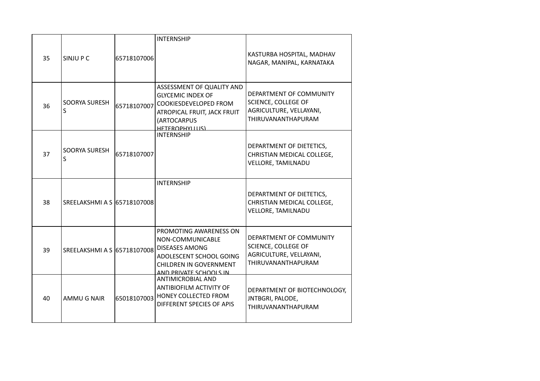|    |                             |             | <b>INTERNSHIP</b>                                                                                                                                         |                                                                                                        |
|----|-----------------------------|-------------|-----------------------------------------------------------------------------------------------------------------------------------------------------------|--------------------------------------------------------------------------------------------------------|
| 35 | SINJU P C                   | 65718107006 |                                                                                                                                                           | KASTURBA HOSPITAL, MADHAV<br>NAGAR, MANIPAL, KARNATAKA                                                 |
| 36 | SOORYA SURESH<br>S          | 65718107007 | ASSESSMENT OF QUALITY AND<br><b>GLYCEMIC INDEX OF</b><br>COOKIESDEVELOPED FROM<br>ATROPICAL FRUIT, JACK FRUIT<br>(ARTOCARPUS<br>HETEROPHYLLUS)            | DEPARTMENT OF COMMUNITY<br>SCIENCE, COLLEGE OF<br>AGRICULTURE, VELLAYANI,<br><b>THIRUVANANTHAPURAM</b> |
| 37 | <b>SOORYA SURESH</b><br>S   | 65718107007 | <b>INTERNSHIP</b>                                                                                                                                         | DEPARTMENT OF DIETETICS,<br>CHRISTIAN MEDICAL COLLEGE,<br>VELLORE, TAMILNADU                           |
| 38 | SREELAKSHMI A S 65718107008 |             | <b>INTERNSHIP</b>                                                                                                                                         | DEPARTMENT OF DIETETICS,<br>CHRISTIAN MEDICAL COLLEGE,<br><b>VELLORE, TAMILNADU</b>                    |
| 39 | SREELAKSHMI A S 65718107008 |             | PROMOTING AWARENESS ON<br>NON-COMMUNICABLE<br><b>DISEASES AMONG</b><br>ADOLESCENT SCHOOL GOING<br><b>CHILDREN IN GOVERNMENT</b><br>AND PRIVATE SCHOOLS IN | DEPARTMENT OF COMMUNITY<br>SCIENCE, COLLEGE OF<br>AGRICULTURE, VELLAYANI,<br>THIRUVANANTHAPURAM        |
| 40 | AMMU G NAIR                 | 65018107003 | <b>ANTIMICROBIAL AND</b><br>ANTIBIOFILM ACTIVITY OF<br>HONEY COLLECTED FROM<br>DIFFERENT SPECIES OF APIS                                                  | DEPARTMENT OF BIOTECHNOLOGY,<br>JNTBGRI, PALODE,<br>THIRUVANANTHAPURAM                                 |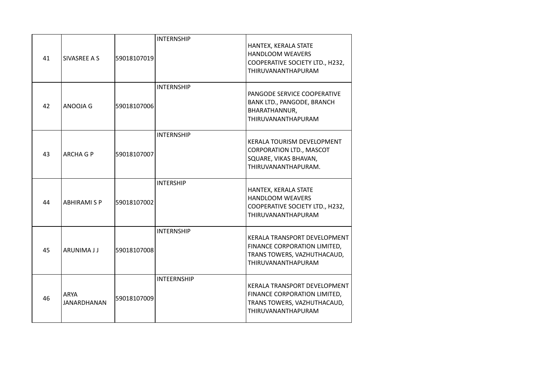|    |                                   |             | <b>INTERNSHIP</b>  |                                                                                                                          |
|----|-----------------------------------|-------------|--------------------|--------------------------------------------------------------------------------------------------------------------------|
| 41 | SIVASREE A S                      | 59018107019 |                    | HANTEX, KERALA STATE<br>HANDLOOM WEAVERS<br>COOPERATIVE SOCIETY LTD., H232,<br><b>THIRUVANANTHAPURAM</b>                 |
| 42 | ANOOJA G                          | 59018107006 | <b>INTERNSHIP</b>  | PANGODE SERVICE COOPERATIVE<br>BANK LTD., PANGODE, BRANCH<br>BHARATHANNUR,<br><b>THIRUVANANTHAPURAM</b>                  |
| 43 | <b>ARCHA G P</b>                  | 59018107007 | <b>INTERNSHIP</b>  | <b>KERALA TOURISM DEVELOPMENT</b><br>CORPORATION LTD., MASCOT<br>SQUARE, VIKAS BHAVAN,<br>THIRUVANANTHAPURAM.            |
| 44 | <b>ABHIRAMI S P</b>               | 59018107002 | <b>INTERSHIP</b>   | HANTEX, KERALA STATE<br>HANDLOOM WEAVERS<br>COOPERATIVE SOCIETY LTD., H232,<br><b>THIRUVANANTHAPURAM</b>                 |
| 45 | ARUNIMA J J                       | 59018107008 | <b>INTERNSHIP</b>  | KERALA TRANSPORT DEVELOPMENT<br>FINANCE CORPORATION LIMITED,<br>TRANS TOWERS, VAZHUTHACAUD,<br><b>THIRUVANANTHAPURAM</b> |
| 46 | <b>ARYA</b><br><b>JANARDHANAN</b> | 59018107009 | <b>INTEERNSHIP</b> | KERALA TRANSPORT DEVELOPMENT<br>FINANCE CORPORATION LIMITED,<br>TRANS TOWERS, VAZHUTHACAUD,<br><b>THIRUVANANTHAPURAM</b> |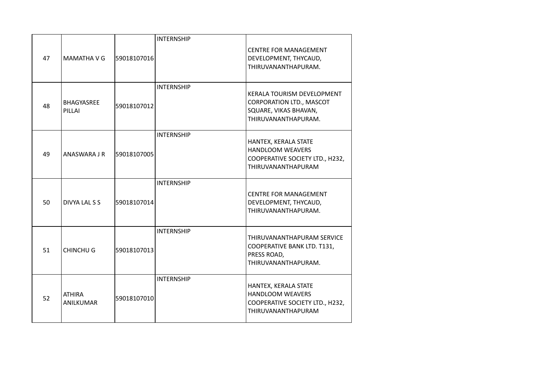|    |                            |             | <b>INTERNSHIP</b> |                                                                                                                 |
|----|----------------------------|-------------|-------------------|-----------------------------------------------------------------------------------------------------------------|
| 47 | MAMATHA V G                | 59018107016 |                   | <b>CENTRE FOR MANAGEMENT</b><br>DEVELOPMENT, THYCAUD,<br>THIRUVANANTHAPURAM.                                    |
| 48 | BHAGYASREE<br>PILLAI       | 59018107012 | <b>INTERNSHIP</b> | <b>KERALA TOURISM DEVELOPMENT</b><br>CORPORATION LTD., MASCOT<br>SQUARE, VIKAS BHAVAN,<br>THIRUVANANTHAPURAM.   |
| 49 | ANASWARA J R               | 59018107005 | <b>INTERNSHIP</b> | HANTEX, KERALA STATE<br><b>HANDLOOM WEAVERS</b><br>COOPERATIVE SOCIETY LTD., H232,<br>THIRUVANANTHAPURAM        |
| 50 | DIVYA LAL S S              | 59018107014 | <b>INTERNSHIP</b> | <b>CENTRE FOR MANAGEMENT</b><br>DEVELOPMENT, THYCAUD,<br>THIRUVANANTHAPURAM.                                    |
| 51 | <b>CHINCHU G</b>           | 59018107013 | <b>INTERNSHIP</b> | THIRUVANANTHAPURAM SERVICE<br>COOPERATIVE BANK LTD. T131,<br>PRESS ROAD,<br>THIRUVANANTHAPURAM.                 |
| 52 | <b>ATHIRA</b><br>ANILKUMAR | 59018107010 | <b>INTERNSHIP</b> | HANTEX, KERALA STATE<br><b>HANDLOOM WEAVERS</b><br>COOPERATIVE SOCIETY LTD., H232,<br><b>THIRUVANANTHAPURAM</b> |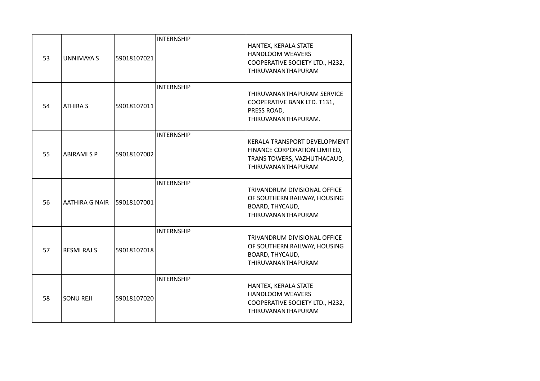|    |                            |             | <b>INTERNSHIP</b> |                                                                                                                          |
|----|----------------------------|-------------|-------------------|--------------------------------------------------------------------------------------------------------------------------|
| 53 | <b>UNNIMAYA S</b>          | 59018107021 |                   | HANTEX, KERALA STATE<br>HANDLOOM WEAVERS<br>COOPERATIVE SOCIETY LTD., H232,<br><b>THIRUVANANTHAPURAM</b>                 |
| 54 | <b>ATHIRA S</b>            | 59018107011 | <b>INTERNSHIP</b> | THIRUVANANTHAPURAM SERVICE<br>COOPERATIVE BANK LTD. T131,<br>PRESS ROAD,<br>THIRUVANANTHAPURAM.                          |
| 55 | <b>ABIRAMI S P</b>         | 59018107002 | <b>INTERNSHIP</b> | <b>KERALA TRANSPORT DEVELOPMENT</b><br>FINANCE CORPORATION LIMITED,<br>TRANS TOWERS, VAZHUTHACAUD,<br>THIRUVANANTHAPURAM |
| 56 | AATHIRA G NAIR 59018107001 |             | <b>INTERNSHIP</b> | TRIVANDRUM DIVISIONAL OFFICE<br>OF SOUTHERN RAILWAY, HOUSING<br>BOARD, THYCAUD,<br><b>THIRUVANANTHAPURAM</b>             |
| 57 | <b>RESMI RAJ S</b>         | 59018107018 | <b>INTERNSHIP</b> | TRIVANDRUM DIVISIONAL OFFICE<br>OF SOUTHERN RAILWAY, HOUSING<br>BOARD, THYCAUD,<br><b>THIRUVANANTHAPURAM</b>             |
| 58 | <b>SONU REJI</b>           | 59018107020 | <b>INTERNSHIP</b> | HANTEX, KERALA STATE<br><b>HANDLOOM WEAVERS</b><br>COOPERATIVE SOCIETY LTD., H232,<br><b>THIRUVANANTHAPURAM</b>          |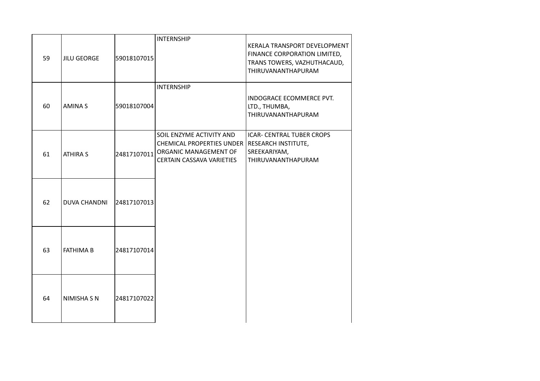| 59 | <b>JILU GEORGE</b>  | 59018107015 | <b>INTERNSHIP</b>                                                                                                  | KERALA TRANSPORT DEVELOPMENT<br>FINANCE CORPORATION LIMITED,<br>TRANS TOWERS, VAZHUTHACAUD,<br>THIRUVANANTHAPURAM |
|----|---------------------|-------------|--------------------------------------------------------------------------------------------------------------------|-------------------------------------------------------------------------------------------------------------------|
| 60 | <b>AMINAS</b>       | 59018107004 | <b>INTERNSHIP</b>                                                                                                  | INDOGRACE ECOMMERCE PVT.<br>LTD., THUMBA,<br>THIRUVANANTHAPURAM                                                   |
| 61 | <b>ATHIRA S</b>     | 24817107011 | SOIL ENZYME ACTIVITY AND<br><b>CHEMICAL PROPERTIES UNDER</b><br>ORGANIC MANAGEMENT OF<br>CERTAIN CASSAVA VARIETIES | <b>ICAR- CENTRAL TUBER CROPS</b><br>RESEARCH INSTITUTE,<br>SREEKARIYAM,<br>THIRUVANANTHAPURAM                     |
| 62 | <b>DUVA CHANDNI</b> | 24817107013 |                                                                                                                    |                                                                                                                   |
| 63 | <b>FATHIMA B</b>    | 24817107014 |                                                                                                                    |                                                                                                                   |
| 64 | <b>NIMISHA S N</b>  | 24817107022 |                                                                                                                    |                                                                                                                   |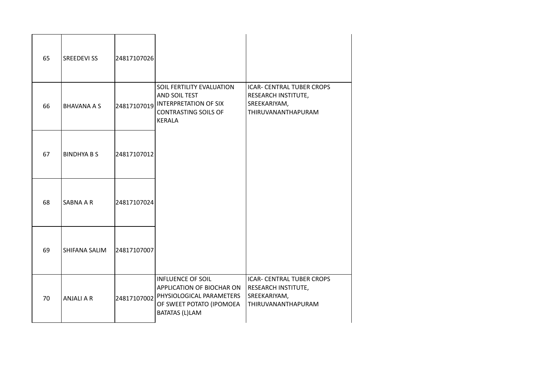| 65 | <b>SREEDEVI SS</b> | 24817107026 |                                                                                                                                                    |                                                                                                      |
|----|--------------------|-------------|----------------------------------------------------------------------------------------------------------------------------------------------------|------------------------------------------------------------------------------------------------------|
| 66 | <b>BHAVANA A S</b> |             | SOIL FERTILITY EVALUATION<br>AND SOIL TEST<br>$ 24817107019 $ interpretation of Six<br><b>CONTRASTING SOILS OF</b><br><b>KERALA</b>                | <b>ICAR- CENTRAL TUBER CROPS</b><br>RESEARCH INSTITUTE,<br>SREEKARIYAM,<br>THIRUVANANTHAPURAM        |
| 67 | <b>BINDHYA B S</b> | 24817107012 |                                                                                                                                                    |                                                                                                      |
| 68 | SABNA A R          | 24817107024 |                                                                                                                                                    |                                                                                                      |
| 69 | SHIFANA SALIM      | 24817107007 |                                                                                                                                                    |                                                                                                      |
| 70 | <b>ANJALI A R</b>  |             | <b>INFLUENCE OF SOIL</b><br>APPLICATION OF BIOCHAR ON<br>24817107002 PHYSIOLOGICAL PARAMETERS<br>OF SWEET POTATO (IPOMOEA<br><b>BATATAS (L)LAM</b> | <b>ICAR- CENTRAL TUBER CROPS</b><br><b>RESEARCH INSTITUTE,</b><br>SREEKARIYAM,<br>THIRUVANANTHAPURAM |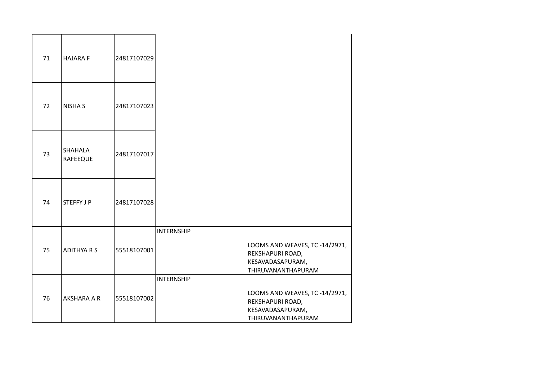| 71 | <b>HAJARA F</b>            | 24817107029 |                   |                                                                                              |
|----|----------------------------|-------------|-------------------|----------------------------------------------------------------------------------------------|
| 72 | <b>NISHA S</b>             | 24817107023 |                   |                                                                                              |
| 73 | SHAHALA<br><b>RAFEEQUE</b> | 24817107017 |                   |                                                                                              |
| 74 | <b>STEFFY J P</b>          | 24817107028 |                   |                                                                                              |
| 75 | <b>ADITHYA R S</b>         | 55518107001 | <b>INTERNSHIP</b> | LOOMS AND WEAVES, TC -14/2971,<br>REKSHAPURI ROAD,<br>KESAVADASAPURAM,<br>THIRUVANANTHAPURAM |
| 76 | AKSHARA A R                | 55518107002 | <b>INTERNSHIP</b> | LOOMS AND WEAVES, TC -14/2971,<br>REKSHAPURI ROAD,<br>KESAVADASAPURAM,<br>THIRUVANANTHAPURAM |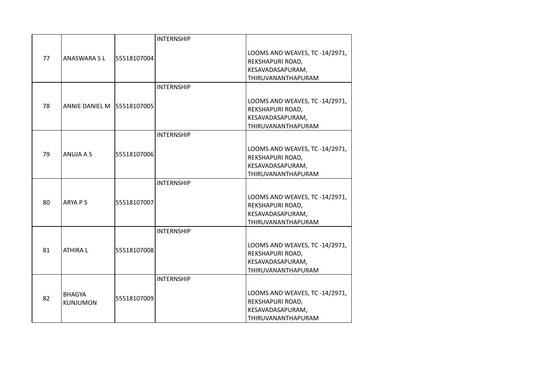|    |                                  |             | <b>INTERNSHIP</b> |                                                                                                     |
|----|----------------------------------|-------------|-------------------|-----------------------------------------------------------------------------------------------------|
| 77 | <b>ANASWARA SL</b>               | 55518107004 |                   | LOOMS AND WEAVES, TC -14/2971,<br>REKSHAPURI ROAD,<br>KESAVADASAPURAM,<br>THIRUVANANTHAPURAM        |
|    |                                  |             | <b>INTERNSHIP</b> |                                                                                                     |
| 78 | ANNIE DANIEL M 55518107005       |             |                   | LOOMS AND WEAVES, TC -14/2971,<br>REKSHAPURI ROAD,<br>KESAVADASAPURAM,<br>THIRUVANANTHAPURAM        |
|    |                                  |             | <b>INTERNSHIP</b> |                                                                                                     |
| 79 | ANUJA A S                        | 55518107006 |                   | LOOMS AND WEAVES, TC -14/2971,<br>REKSHAPURI ROAD,<br>KESAVADASAPURAM,<br>THIRUVANANTHAPURAM        |
|    |                                  |             | <b>INTERNSHIP</b> |                                                                                                     |
| 80 | ARYA P S                         | 55518107007 |                   | LOOMS AND WEAVES, TC -14/2971,<br>REKSHAPURI ROAD,<br>KESAVADASAPURAM,<br>THIRUVANANTHAPURAM        |
|    |                                  |             | <b>INTERNSHIP</b> |                                                                                                     |
| 81 | <b>ATHIRAL</b>                   | 55518107008 |                   | LOOMS AND WEAVES, TC -14/2971,<br>REKSHAPURI ROAD,<br>KESAVADASAPURAM,<br>THIRUVANANTHAPURAM        |
|    |                                  |             | <b>INTERNSHIP</b> |                                                                                                     |
| 82 | <b>BHAGYA</b><br><b>KUNJUMON</b> | 55518107009 |                   | LOOMS AND WEAVES, TC -14/2971,<br>REKSHAPURI ROAD,<br>KESAVADASAPURAM,<br><b>THIRUVANANTHAPURAM</b> |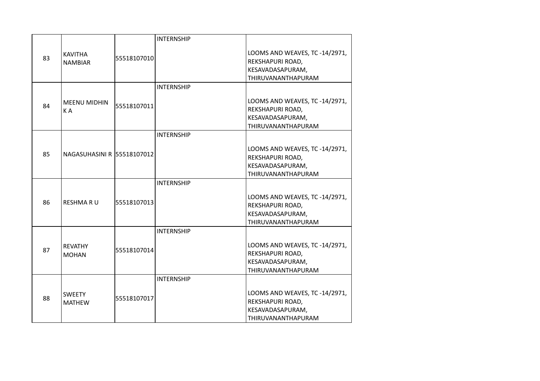|    |                            |             | <b>INTERNSHIP</b> |                                                    |
|----|----------------------------|-------------|-------------------|----------------------------------------------------|
| 83 | <b>KAVITHA</b>             | 55518107010 |                   | LOOMS AND WEAVES, TC -14/2971,<br>REKSHAPURI ROAD, |
|    | <b>NAMBIAR</b>             |             |                   | KESAVADASAPURAM,                                   |
|    |                            |             |                   | THIRUVANANTHAPURAM                                 |
|    |                            |             | <b>INTERNSHIP</b> |                                                    |
|    | <b>MEENU MIDHIN</b>        |             |                   | LOOMS AND WEAVES, TC -14/2971,                     |
| 84 | KA                         | 55518107011 |                   | REKSHAPURI ROAD,                                   |
|    |                            |             |                   | KESAVADASAPURAM,                                   |
|    |                            |             |                   | THIRUVANANTHAPURAM                                 |
|    |                            |             | <b>INTERNSHIP</b> |                                                    |
|    |                            |             |                   | LOOMS AND WEAVES, TC -14/2971,                     |
| 85 | NAGASUHASINI R 55518107012 |             |                   | REKSHAPURI ROAD,                                   |
|    |                            |             |                   | KESAVADASAPURAM,                                   |
|    |                            |             |                   | THIRUVANANTHAPURAM                                 |
|    |                            |             | <b>INTERNSHIP</b> |                                                    |
|    |                            |             |                   | LOOMS AND WEAVES, TC -14/2971,                     |
| 86 | RESHMA R U                 | 55518107013 |                   | REKSHAPURI ROAD,                                   |
|    |                            |             |                   | KESAVADASAPURAM,                                   |
|    |                            |             |                   | THIRUVANANTHAPURAM                                 |
|    |                            |             | <b>INTERNSHIP</b> |                                                    |
|    | <b>REVATHY</b>             |             |                   | LOOMS AND WEAVES, TC -14/2971,                     |
| 87 | <b>MOHAN</b>               | 55518107014 |                   | REKSHAPURI ROAD,                                   |
|    |                            |             |                   | KESAVADASAPURAM,                                   |
|    |                            |             |                   | THIRUVANANTHAPURAM                                 |
|    |                            |             | <b>INTERNSHIP</b> |                                                    |
|    | <b>SWEETY</b>              |             |                   | LOOMS AND WEAVES, TC -14/2971,                     |
| 88 | <b>MATHEW</b>              | 55518107017 |                   | REKSHAPURI ROAD,                                   |
|    |                            |             |                   | KESAVADASAPURAM,                                   |
|    |                            |             |                   | <b>THIRUVANANTHAPURAM</b>                          |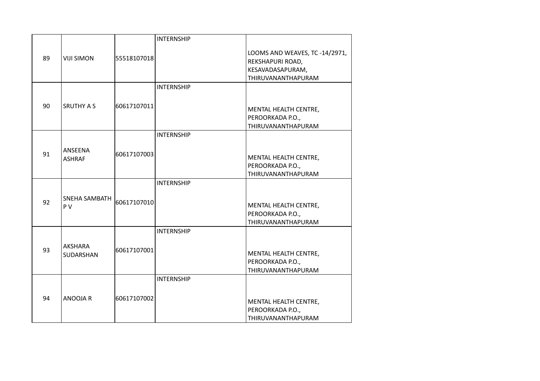|    |                             |             | <b>INTERNSHIP</b> |                                                                                              |
|----|-----------------------------|-------------|-------------------|----------------------------------------------------------------------------------------------|
| 89 | <b>VIJI SIMON</b>           | 55518107018 |                   | LOOMS AND WEAVES, TC -14/2971,<br>REKSHAPURI ROAD,<br>KESAVADASAPURAM,<br>THIRUVANANTHAPURAM |
|    |                             |             | <b>INTERNSHIP</b> |                                                                                              |
| 90 | <b>SRUTHY A S</b>           | 60617107011 |                   | MENTAL HEALTH CENTRE,<br>PEROORKADA P.O.,<br>THIRUVANANTHAPURAM                              |
|    |                             |             | <b>INTERNSHIP</b> |                                                                                              |
| 91 | ANSEENA<br><b>ASHRAF</b>    | 60617107003 |                   | MENTAL HEALTH CENTRE,<br>PEROORKADA P.O.,<br>THIRUVANANTHAPURAM                              |
|    |                             |             | <b>INTERNSHIP</b> |                                                                                              |
| 92 | SNEHA SAMBATH<br>PV         | 60617107010 |                   | MENTAL HEALTH CENTRE,<br>PEROORKADA P.O.,<br>THIRUVANANTHAPURAM                              |
|    |                             |             | <b>INTERNSHIP</b> |                                                                                              |
| 93 | AKSHARA<br><b>SUDARSHAN</b> | 60617107001 |                   | MENTAL HEALTH CENTRE,<br>PEROORKADA P.O.,<br>THIRUVANANTHAPURAM                              |
|    |                             |             | <b>INTERNSHIP</b> |                                                                                              |
| 94 | ANOOJA R                    | 60617107002 |                   | MENTAL HEALTH CENTRE,<br>PEROORKADA P.O.,<br>THIRUVANANTHAPURAM                              |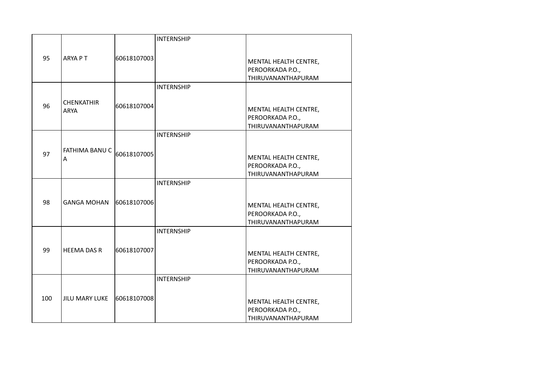|     |                    |             | <b>INTERNSHIP</b> |                           |
|-----|--------------------|-------------|-------------------|---------------------------|
|     |                    |             |                   |                           |
| 95  | <b>ARYA PT</b>     | 60618107003 |                   | MENTAL HEALTH CENTRE,     |
|     |                    |             |                   | PEROORKADA P.O.,          |
|     |                    |             |                   | THIRUVANANTHAPURAM        |
|     |                    |             | <b>INTERNSHIP</b> |                           |
|     | <b>CHENKATHIR</b>  |             |                   |                           |
| 96  | <b>ARYA</b>        | 60618107004 |                   | MENTAL HEALTH CENTRE,     |
|     |                    |             |                   | PEROORKADA P.O.,          |
|     |                    |             |                   | THIRUVANANTHAPURAM        |
|     |                    |             | <b>INTERNSHIP</b> |                           |
|     |                    |             |                   |                           |
| 97  | FATHIMA BANU C     | 60618107005 |                   | MENTAL HEALTH CENTRE,     |
|     | Α                  |             |                   | PEROORKADA P.O.,          |
|     |                    |             |                   | THIRUVANANTHAPURAM        |
|     |                    |             | <b>INTERNSHIP</b> |                           |
|     |                    |             |                   |                           |
|     |                    |             |                   |                           |
| 98  | <b>GANGA MOHAN</b> | 60618107006 |                   | MENTAL HEALTH CENTRE,     |
|     |                    |             |                   | PEROORKADA P.O.,          |
|     |                    |             |                   | THIRUVANANTHAPURAM        |
|     |                    |             | <b>INTERNSHIP</b> |                           |
|     |                    |             |                   |                           |
| 99  | <b>HEEMA DAS R</b> | 60618107007 |                   | MENTAL HEALTH CENTRE,     |
|     |                    |             |                   | PEROORKADA P.O.,          |
|     |                    |             |                   | THIRUVANANTHAPURAM        |
|     |                    |             | <b>INTERNSHIP</b> |                           |
|     |                    |             |                   |                           |
|     |                    |             |                   |                           |
| 100 | JILU MARY LUKE     | 60618107008 |                   | MENTAL HEALTH CENTRE,     |
|     |                    |             |                   | PEROORKADA P.O.,          |
|     |                    |             |                   | <b>THIRUVANANTHAPURAM</b> |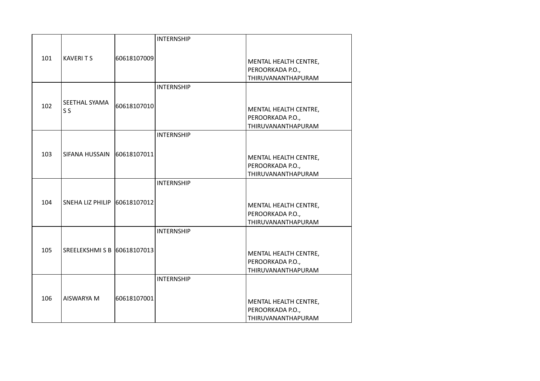|     |                              |             | <b>INTERNSHIP</b> |                                           |
|-----|------------------------------|-------------|-------------------|-------------------------------------------|
|     |                              |             |                   |                                           |
| 101 | <b>KAVERITS</b>              | 60618107009 |                   | MENTAL HEALTH CENTRE,                     |
|     |                              |             |                   | PEROORKADA P.O.,                          |
|     |                              |             |                   | THIRUVANANTHAPURAM                        |
|     |                              |             | <b>INTERNSHIP</b> |                                           |
|     | SEETHAL SYAMA                |             |                   |                                           |
| 102 | S <sub>S</sub>               | 60618107010 |                   | MENTAL HEALTH CENTRE,                     |
|     |                              |             |                   | PEROORKADA P.O.,                          |
|     |                              |             |                   | THIRUVANANTHAPURAM                        |
|     |                              |             | <b>INTERNSHIP</b> |                                           |
|     |                              |             |                   |                                           |
| 103 | SIFANA HUSSAIN               | 60618107011 |                   | MENTAL HEALTH CENTRE,                     |
|     |                              |             |                   | PEROORKADA P.O.,                          |
|     |                              |             |                   | THIRUVANANTHAPURAM                        |
|     |                              |             | <b>INTERNSHIP</b> |                                           |
|     |                              |             |                   |                                           |
| 104 | SNEHA LIZ PHILIP 60618107012 |             |                   | MENTAL HEALTH CENTRE,                     |
|     |                              |             |                   | PEROORKADA P.O.,                          |
|     |                              |             |                   | THIRUVANANTHAPURAM                        |
|     |                              |             | <b>INTERNSHIP</b> |                                           |
|     |                              |             |                   |                                           |
| 105 | SREELEKSHMI S B 60618107013  |             |                   |                                           |
|     |                              |             |                   | MENTAL HEALTH CENTRE,<br>PEROORKADA P.O., |
|     |                              |             |                   | <b>THIRUVANANTHAPURAM</b>                 |
|     |                              |             | <b>INTERNSHIP</b> |                                           |
|     |                              |             |                   |                                           |
|     |                              |             |                   |                                           |
| 106 | AISWARYA M                   | 60618107001 |                   | MENTAL HEALTH CENTRE,                     |
|     |                              |             |                   | PEROORKADA P.O.,                          |
|     |                              |             |                   | THIRUVANANTHAPURAM                        |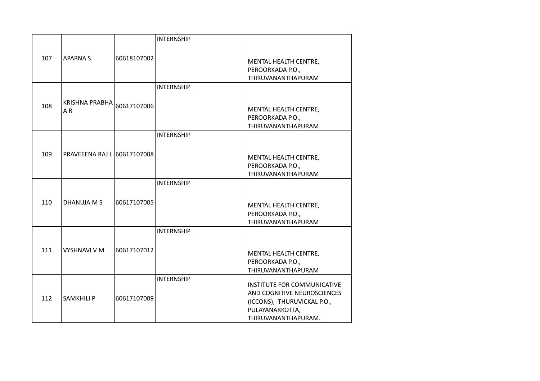|     |                             |             | <b>INTERNSHIP</b> |                             |
|-----|-----------------------------|-------------|-------------------|-----------------------------|
|     |                             |             |                   |                             |
| 107 | APARNA S.                   | 60618107002 |                   | MENTAL HEALTH CENTRE,       |
|     |                             |             |                   | PEROORKADA P.O.,            |
|     |                             |             |                   | THIRUVANANTHAPURAM          |
|     |                             |             | <b>INTERNSHIP</b> |                             |
|     |                             |             |                   |                             |
| 108 | <b>KRISHNA PRABHA</b>       | 60617107006 |                   | MENTAL HEALTH CENTRE,       |
|     | A <sub>R</sub>              |             |                   | PEROORKADA P.O.,            |
|     |                             |             |                   | THIRUVANANTHAPURAM          |
|     |                             |             | <b>INTERNSHIP</b> |                             |
|     |                             |             |                   |                             |
| 109 | PRAVEEENA RAJ   60617107008 |             |                   |                             |
|     |                             |             |                   | MENTAL HEALTH CENTRE,       |
|     |                             |             |                   | PEROORKADA P.O.,            |
|     |                             |             | <b>INTERNSHIP</b> | THIRUVANANTHAPURAM          |
|     |                             |             |                   |                             |
|     |                             |             |                   |                             |
| 110 | DHANUJA M S                 | 60617107005 |                   | MENTAL HEALTH CENTRE,       |
|     |                             |             |                   | PEROORKADA P.O.,            |
|     |                             |             |                   | THIRUVANANTHAPURAM          |
|     |                             |             | <b>INTERNSHIP</b> |                             |
|     |                             |             |                   |                             |
| 111 | <b>VYSHNAVI V M</b>         | 60617107012 |                   | MENTAL HEALTH CENTRE,       |
|     |                             |             |                   | PEROORKADA P.O.,            |
|     |                             |             |                   | THIRUVANANTHAPURAM          |
|     |                             |             | <b>INTERNSHIP</b> |                             |
|     |                             |             |                   | INSTITUTE FOR COMMUNICATIVE |
| 112 | <b>SAMKHILI P</b>           |             |                   | AND COGNITIVE NEUROSCIENCES |
|     |                             | 60617107009 |                   | (ICCONS), THURUVICKAL P.O., |
|     |                             |             |                   | PULAYANARKOTTA,             |
|     |                             |             |                   | THIRUVANANTHAPURAM.         |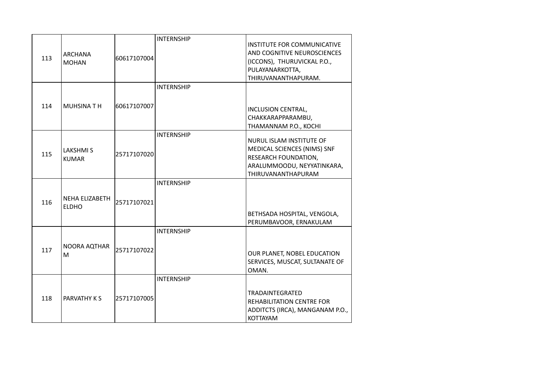| 113 | <b>ARCHANA</b><br><b>MOHAN</b>  | 60617107004 | <b>INTERNSHIP</b> | INSTITUTE FOR COMMUNICATIVE<br>AND COGNITIVE NEUROSCIENCES<br>(ICCONS), THURUVICKAL P.O.,<br>PULAYANARKOTTA,<br>THIRUVANANTHAPURAM. |
|-----|---------------------------------|-------------|-------------------|-------------------------------------------------------------------------------------------------------------------------------------|
| 114 | <b>MUHSINATH</b>                | 60617107007 | <b>INTERNSHIP</b> | INCLUSION CENTRAL,<br>CHAKKARAPPARAMBU,<br>THAMANNAM P.O., KOCHI                                                                    |
| 115 | <b>LAKSHMIS</b><br><b>KUMAR</b> | 25717107020 | <b>INTERNSHIP</b> | NURUL ISLAM INSTITUTE OF<br>MEDICAL SCIENCES (NIMS) SNF<br>RESEARCH FOUNDATION,<br>ARALUMMOODU, NEYYATINKARA,<br>THIRUVANANTHAPURAM |
| 116 | NEHA ELIZABETH<br><b>ELDHO</b>  | 25717107021 | <b>INTERNSHIP</b> | BETHSADA HOSPITAL, VENGOLA,<br>PERUMBAVOOR, ERNAKULAM                                                                               |
| 117 | NOORA AQTHAR<br>M               | 25717107022 | <b>INTERNSHIP</b> | OUR PLANET, NOBEL EDUCATION<br>SERVICES, MUSCAT, SULTANATE OF<br>OMAN.                                                              |
| 118 | PARVATHY K S                    | 25717107005 | <b>INTERNSHIP</b> | <b>TRADAINTEGRATED</b><br>REHABILITATION CENTRE FOR<br>ADDITCTS (IRCA), MANGANAM P.O.,<br><b>KOTTAYAM</b>                           |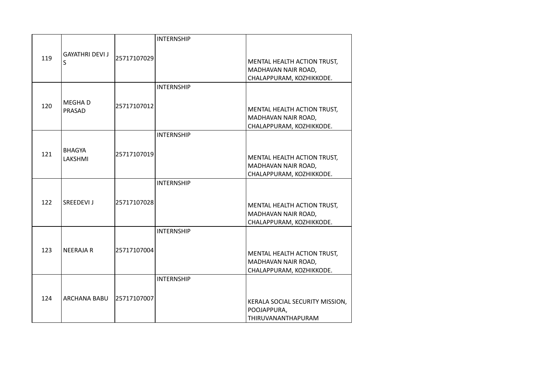|     |                         |             | <b>INTERNSHIP</b> |                                 |
|-----|-------------------------|-------------|-------------------|---------------------------------|
| 119 | <b>GAYATHRI DEVI J</b>  | 25717107029 |                   |                                 |
|     | S                       |             |                   | MENTAL HEALTH ACTION TRUST,     |
|     |                         |             |                   | MADHAVAN NAIR ROAD,             |
|     |                         |             |                   | CHALAPPURAM, KOZHIKKODE.        |
|     |                         |             | <b>INTERNSHIP</b> |                                 |
|     |                         |             |                   |                                 |
| 120 | <b>MEGHAD</b><br>PRASAD | 25717107012 |                   | MENTAL HEALTH ACTION TRUST,     |
|     |                         |             |                   | MADHAVAN NAIR ROAD,             |
|     |                         |             |                   | CHALAPPURAM, KOZHIKKODE.        |
|     |                         |             | <b>INTERNSHIP</b> |                                 |
|     |                         |             |                   |                                 |
| 121 | <b>BHAGYA</b>           | 25717107019 |                   |                                 |
|     | LAKSHMI                 |             |                   | MENTAL HEALTH ACTION TRUST,     |
|     |                         |             |                   | MADHAVAN NAIR ROAD,             |
|     |                         |             |                   | CHALAPPURAM, KOZHIKKODE.        |
|     |                         |             | <b>INTERNSHIP</b> |                                 |
|     |                         |             |                   |                                 |
| 122 | SREEDEVI J              | 25717107028 |                   | MENTAL HEALTH ACTION TRUST,     |
|     |                         |             |                   | MADHAVAN NAIR ROAD,             |
|     |                         |             |                   | CHALAPPURAM, KOZHIKKODE.        |
|     |                         |             | <b>INTERNSHIP</b> |                                 |
|     |                         |             |                   |                                 |
| 123 | <b>NEERAJA R</b>        | 25717107004 |                   |                                 |
|     |                         |             |                   | MENTAL HEALTH ACTION TRUST,     |
|     |                         |             |                   | MADHAVAN NAIR ROAD,             |
|     |                         |             | <b>INTERNSHIP</b> | CHALAPPURAM, KOZHIKKODE.        |
|     |                         |             |                   |                                 |
|     |                         |             |                   |                                 |
| 124 | <b>ARCHANA BABU</b>     | 25717107007 |                   | KERALA SOCIAL SECURITY MISSION, |
|     |                         |             |                   | POOJAPPURA,                     |
|     |                         |             |                   | <b>THIRUVANANTHAPURAM</b>       |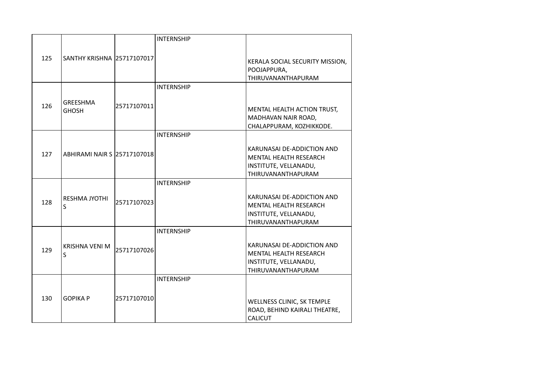|     |                             |             | <b>INTERNSHIP</b> |                                 |
|-----|-----------------------------|-------------|-------------------|---------------------------------|
|     |                             |             |                   |                                 |
| 125 | SANTHY KRISHNA 25717107017  |             |                   | KERALA SOCIAL SECURITY MISSION, |
|     |                             |             |                   | POOJAPPURA,                     |
|     |                             |             |                   | THIRUVANANTHAPURAM              |
|     |                             |             | <b>INTERNSHIP</b> |                                 |
|     | <b>GREESHMA</b>             |             |                   |                                 |
| 126 | <b>GHOSH</b>                | 25717107011 |                   | MENTAL HEALTH ACTION TRUST,     |
|     |                             |             |                   | MADHAVAN NAIR ROAD,             |
|     |                             |             |                   | CHALAPPURAM, KOZHIKKODE.        |
|     |                             |             | <b>INTERNSHIP</b> |                                 |
|     | ABHIRAMI NAIR S 25717107018 |             |                   | KARUNASAI DE-ADDICTION AND      |
| 127 |                             |             |                   | <b>MENTAL HEALTH RESEARCH</b>   |
|     |                             |             |                   | INSTITUTE, VELLANADU,           |
|     |                             |             |                   | THIRUVANANTHAPURAM              |
|     |                             |             | <b>INTERNSHIP</b> |                                 |
|     |                             |             |                   |                                 |
| 128 | <b>RESHMA JYOTHI</b><br>S   | 25717107023 |                   | KARUNASAI DE-ADDICTION AND      |
|     |                             |             |                   | <b>MENTAL HEALTH RESEARCH</b>   |
|     |                             |             |                   | INSTITUTE, VELLANADU,           |
|     |                             |             |                   | THIRUVANANTHAPURAM              |
|     |                             |             | <b>INTERNSHIP</b> |                                 |
| 129 | <b>KRISHNA VENI M</b><br>S  | 25717107026 |                   | KARUNASAI DE-ADDICTION AND      |
|     |                             |             |                   | MENTAL HEALTH RESEARCH          |
|     |                             |             |                   | INSTITUTE, VELLANADU,           |
|     |                             |             |                   | THIRUVANANTHAPURAM              |
|     |                             |             | <b>INTERNSHIP</b> |                                 |
|     | <b>GOPIKA P</b>             | 25717107010 |                   |                                 |
| 130 |                             |             |                   | WELLNESS CLINIC, SK TEMPLE      |
|     |                             |             |                   | ROAD, BEHIND KAIRALI THEATRE,   |
|     |                             |             |                   | <b>CALICUT</b>                  |